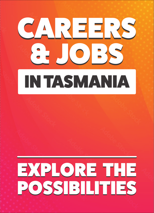# IN TASMANIA CAREERS  $\Theta$

# EXPLORE THE POSSIBILITIES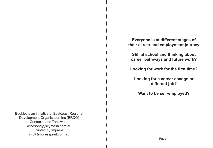**Everyone is at different stages of their career and employment journey**

**Still at school and thinking about career pathways and future work?**

**Looking for work for the first time?**

**Looking for a career change or different job?**

**Want to be self-employed?**

Booklet is an initiative of Eastcoast Regional Development Organisation Inc (ERDO) Contact: Jane Teniswood windsong@skymesh.com.au Printed by Impress info@impressprint.com.au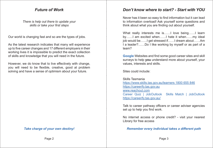#### *Future of Work*

*There is help out there to update your skills or take your first steps*

Our world is changing fast and so are the types of jobs.

As the latest research indicates that many will experience up to five career changes and 17 different employers in their working lives it is impossible to predict the exact collection of skills and knowledge that you will need in the future.

However, we do know that to live effectively with change, you will need to be flexible, creative, good at problem solving and have a sense of optimism about your future.

*Take charge of your own destiny!*

#### *Don't know where to start? - Start with YOU*

Never has it been so easy to find information but it can lead to information overload! Ask yourself some questions and think about what you are finding out about yourself.

What really interests me is……I love being……I learn by……I am excited when……I hate it when……my ideal job would be……I get stressed if……I dream about……Am I a leader?……Do I like working by myself or as part of a team?

**Google** Websites and find some good career sites and skill surveys to help **you** understand more about yourself, your values, interests and skills.

Sites could include:

Skills Tasmania https://www.skills.tas.gov.au/learners 1800 655 846 https://careerify.tas.gov.au www.reachout.com Career Quiz | JobOutlook Skills Match | JobOutlook https://careerify.tas.gov.au/

Talk to career pathway officers or career adviser agencies set up to help you find work.

No internet access or phone credit? - visit your nearest Library for free access

*Remember every individual takes a different path*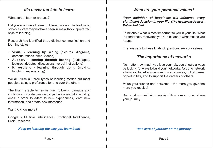#### *It's never too late to learn!*

What sort of learner are you?

Did you know we all learn in different ways? The traditional school system may not have been in line with your preferred style of learning.

Research has identified three distinct communication and learning styles:

- **• Visual learning by seeing** (pictures, diagrams, demonstrations, films, videos)
- **• Auditory learning through hearing** (audiotapes, lectures, debates, discussions, verbal instructions)
- **• Kinaesthetic learning through doing** (moving, touching, experiencing)

We all utilise all three types of learning modes but most people display a preference for one over the other.

The brain is able to rewire itself following damage and continues to create new neural pathways and alter existing ones in order to adapt to new experiences, learn new information, and create new memories.

Want to know more?

Google - Multiple Intelligence, Emotional Intelligence, Brain Research

#### *Keep on learning the way you learn best!*

# *What are your personal values?*

*'Your definition of happiness will influence every significant decision in your life' (The Happiness Project - Robert Holden)*

Think about what is most important to you in your life. What is it that really motivates you? Think about what makes you happy.

The answers to these kinds of questions are your values.

#### *The importance of networks*

No matter how much you love your job, you should always be looking for ways to build your networks. A strong network allows you to get advice from trusted sources, to find career opportunities, and to support the careers of others.

Value your friends and networks - the more you give the more you receive!

Surround yourself with people with whom you can share your journey

*Take care of yourself on the journey!*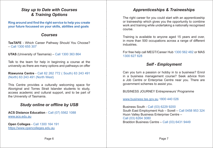# *Stay up to Date with Courses & Training Options*

**Ring around and find the right service to help you create your future focussed on your skills, abilities and goals**

#### *Courses*

**TasTAFE** - Which Career Pathway Should You Choose? – Call 1300 655 307

**UTAS** (University of Tasmania) – Call 1300 363 864

Talk to the team for help in beginning a course at the university as there are many options and pathways on offer

**Riawunna Centre** - Call 62 262 772 ( South) 63 243 491 (North) 63 243 491 (North West)

This Centre provides a culturally welcoming space for Aboriginal and Torres Strait Islander students to study, access academic and cultural support, and to be part of the University of Tasmania.

# *Study online or offline by USB*

**ACS Distance Education** - Call (07) 5562 1088 www.acs.edu.au

**Open Colleges** - Call 1300 164 191 https://www.opencolleges.edu.au

# *Apprenticeships & Traineeships*

The right career for you could start with an apprenticeship or traineeship which gives you the opportunity to combine work and training while undertaking a nationally recognised course.

Training is available to anyone aged 15 years and over, in more than 500 occupations across a range of different **industries** 

For free help call MEGT/Career Hub 1300 562 482 or MAS 1300 627 628

#### *Self - Employment*

Can you turn a passion or hobby in to a business? Enrol in a business management course? Seek advice from a Job Centre or Enterprise Centre near you. There are government schemes to assist you.

BUSINESS JOURNEY Entrepreneurs' Programme

www.business.tas.gov.au 1800 440 026

Business South - Call (03) 6229 9200 South East Employment Hub – Sorell – Call 0458 953 324 Huon Valley Business Enterprise Centre – Call (03) 6264 3080 Braddon Business Centre – Call (03) 6431 9449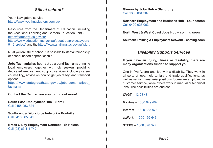#### *Still at school?*

Youth Navigators service https://www.youthnavigators.com.au/

Resources from the Department of Education (including the Vocational Learning and Careers Education unit) https://careerify.tas.gov.au/ https://www.education.tas.gov.au/about-us/projects/years-9-12-project/, and the https://www.anything.tas.gov.au/ plan.

NB If you are still at school it is possible to start a traineeship or school-based apprenticeship

**Jobs Tasmania** has been set up around Tasmania bringing local employers together with job seekers providing dedicated employment support services including career counselling, advice on how to get job ready, and transport options.

https://www.stategrowth.tas.gov.au/jobstasmania/jobs\_ tasmania

**Contact the Centre near you to find out more!**

**South East Employment Hub – Sorell** Call 0458 953 324

**Southcentral Workforce Network – Pontville** Call 0418 365 541

**Break O'Day Employment Connect – St Helens** Call (03) 63 111 742

**Glenorchy Jobs Hub – Glenorchy** Call 1300 084 307

**Northern Employment and Business Hub – Launceston** Call 0490 025 063

**North West & West Coast Jobs Hub – coming soon**

**Southern Training & Employment Network – coming soon**

#### *Disability Support Services*

**If you have an injury, illness or disability, there are many organisations funded to support you.**

One in five Australians live with a disability. They work in all sorts of jobs, hold tertiary and trade qualifications, as well as senior managerial positions. Some are employed in customer service, while others work in manual or technical jobs. The possibilities are endless.

**CVGT** – 13 28 48 **Maxima** – 1300 629 462 **Interact** – 1300 388 873 **atWork** – 1300 192 646 **STEPS** – 1300 078 377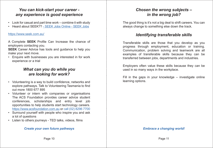#### *You can kick-start your career any experience is good experience*

- Look for casual and part time work combine it with study
- Heard about SEEK?? SEEK Jobs Online SEEK Jobs

#### https://www.seek.com.au/

A Complete **SEEK** Profile Can Increase the chance of employers contacting you.

**SEEK** Career Advice has tools and quidance to help you make your next move.

• Enquire with businesses you are interested in for work experience or a trial

# *What can you do while you are looking for work?*

- Volunteering is a way to build confidence, networks and explore pathways. Talk to Volunteering Tasmania to find out more 1800 677 895
- Volunteer or intern with companies or organisations The ACS Foundation provides career advice student conferences, scholarships and entry level job opportunities to help students start technology careers. https://www.acsfoundation.com.au or call (02) 8296 7700
- Surround yourself with people who inspire you and ask a lot of questions
- Listen to others journeys TED talks, videos, films

#### *Create your own future pathways*

# *Chosen the wrong subjects – in the wrong job?*

The good thing is it's not a big deal to shift careers. You can always change to something else down the track.

# *Identifying transferable skills*

Transferable skills are those that you develop as you progress through employment, education or training. Communication, problem solving and teamwork are all examples of transferable skills because they can be transferred between jobs, departments and industries.

Employers often value these skills because they can be used in so many ways in the workplace.

Fill in the gaps in your knowledge – investigate online learning options.

#### *Embrace a changing world!*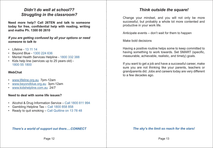# *Didn't do well at school?? Struggling in the classroom?*

**Need more help? Call 26TEN and talk to someone today for free, confidential help with reading, writing and maths Ph. 1300 00 2610**

*If you are getting confused by all your options or need someone to talk to*

- Lifeline 13 11 14
- Beyond Blue 1300 224 636
- Mental Health Services Helpline 1800 332 388
- Kids help line (services up to 25 years old) 1800 55 1800

#### **WebChat**

- www.lifeline.org.au 7pm-12am
- www.beyondblue.org.au 3pm-12am
- www.kidshelpline.com.au 24/7

#### **Need to deal with some life issues?**

- Alcohol & Drug Information Service Call 1800 811 994
- Gambling Helpline Tas Call 1800 858 858
- Ready to quit smoking Call Quitline on 13 78 48

#### *There's a world of support out there….CONNECT*

#### *Think outside the square!*

Change your mindset, and you will not only be more successful, but probably a whole lot more contented and productive in your work life.

Anticipate events – don't wait for them to happen

Make bold decisions

Having a positive routine helps some to keep committed to having something to work towards. Set SMART (specific, measurable, achievable, realistic, and timely) goals.

If you want to get a job and have a successful career, make sure you are not thinking like your parents, teachers or grandparents did. Jobs and careers today are very different to a few decades ago.

#### *The sky's the limit so reach for the stars!*